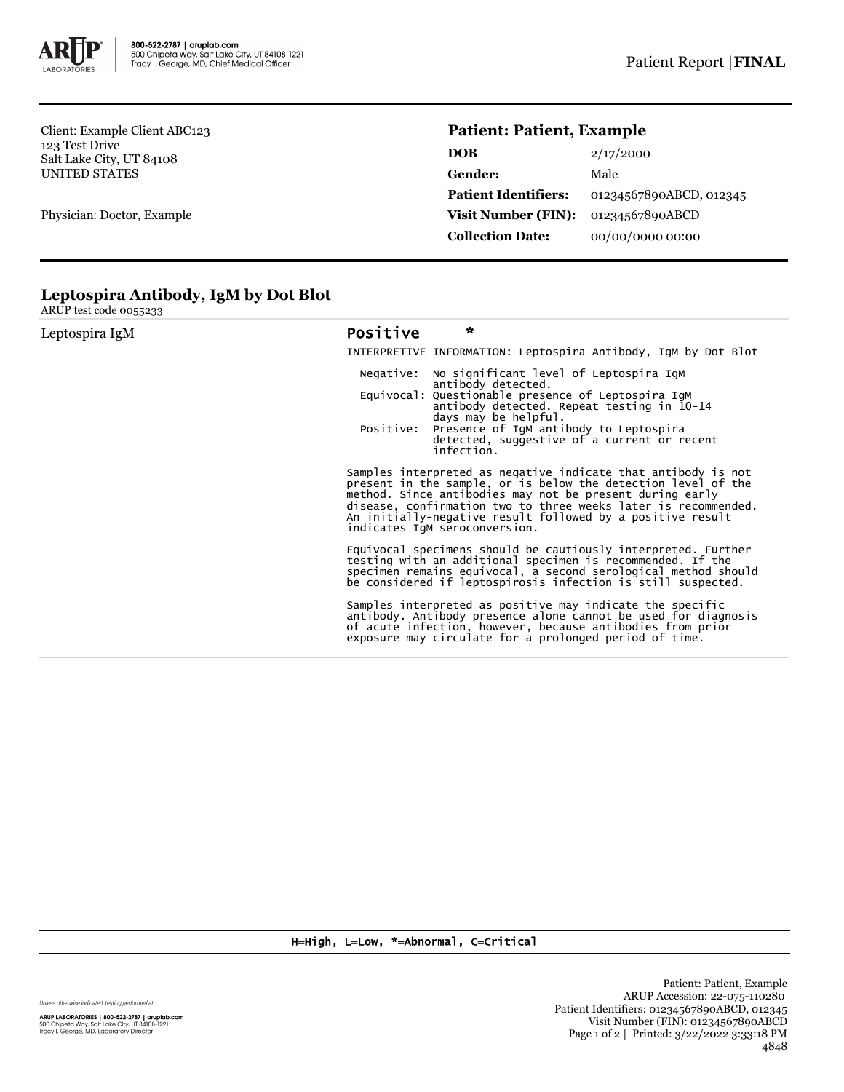

Client: Example Client ABC123 123 Test Drive Salt Lake City, UT 84108 UNITED STATES

Physician: Doctor, Example

## **Patient: Patient, Example**

| <b>DOB</b>                  | 2/17/2000               |
|-----------------------------|-------------------------|
| Gender:                     | Male                    |
| <b>Patient Identifiers:</b> | 01234567890ABCD, 012345 |
| Visit Number (FIN):         | 01234567890ABCD         |
| <b>Collection Date:</b>     | 00/00/0000 00:00        |

## **Leptospira Antibody, IgM by Dot Blot**

ARUP test code 0055233

| Leptospira IgM | Positive                                                                                                                                                                                                                                                                                                                                                    | $\star$                                                                                                                     |                                                                                                                                                                                                                                                               |
|----------------|-------------------------------------------------------------------------------------------------------------------------------------------------------------------------------------------------------------------------------------------------------------------------------------------------------------------------------------------------------------|-----------------------------------------------------------------------------------------------------------------------------|---------------------------------------------------------------------------------------------------------------------------------------------------------------------------------------------------------------------------------------------------------------|
|                |                                                                                                                                                                                                                                                                                                                                                             |                                                                                                                             | INTERPRETIVE INFORMATION: Leptospira Antibody, IgM by Dot Blot                                                                                                                                                                                                |
|                | Negative:                                                                                                                                                                                                                                                                                                                                                   | antibody detected.                                                                                                          | No significant level of Leptospira IgM                                                                                                                                                                                                                        |
|                |                                                                                                                                                                                                                                                                                                                                                             |                                                                                                                             | Equivocal: Questionable presence of Leptospira IqM<br>antibody detected. Repeat testing in 10-14                                                                                                                                                              |
|                | Positive:                                                                                                                                                                                                                                                                                                                                                   | days may be helpful.<br>Presence of IgM antibody to Leptospira<br>detected, suggestive of a current or recent<br>infection. |                                                                                                                                                                                                                                                               |
|                | Samples interpreted as negative indicate that antibody is not<br>present in the sample, or is below the detection level of the<br>method. Since antibodies may not be present during early<br>disease, confirmation two to three weeks later is recommended.<br>An initially-negative result followed by a positive result<br>indicates IqM seroconversion. |                                                                                                                             |                                                                                                                                                                                                                                                               |
|                |                                                                                                                                                                                                                                                                                                                                                             |                                                                                                                             | Equivocal specimens should be cautiously interpreted. Further<br>testing with an additional specimen is recommended. If the<br>specimen remains equivocal, a second serological method should<br>be considered if leptospirosis infection is still suspected. |
|                |                                                                                                                                                                                                                                                                                                                                                             |                                                                                                                             | Samples interpreted as positive may indicate the specific<br>antibody. Antibody presence alone cannot be used for diagnosis<br>of acute infection, however, because antibodies from prior<br>exposure may circulate for a prolonged period of time.           |

## H=High, L=Low, \*=Abnormal, C=Critical

Unless otherwise indicated, testing performed at: